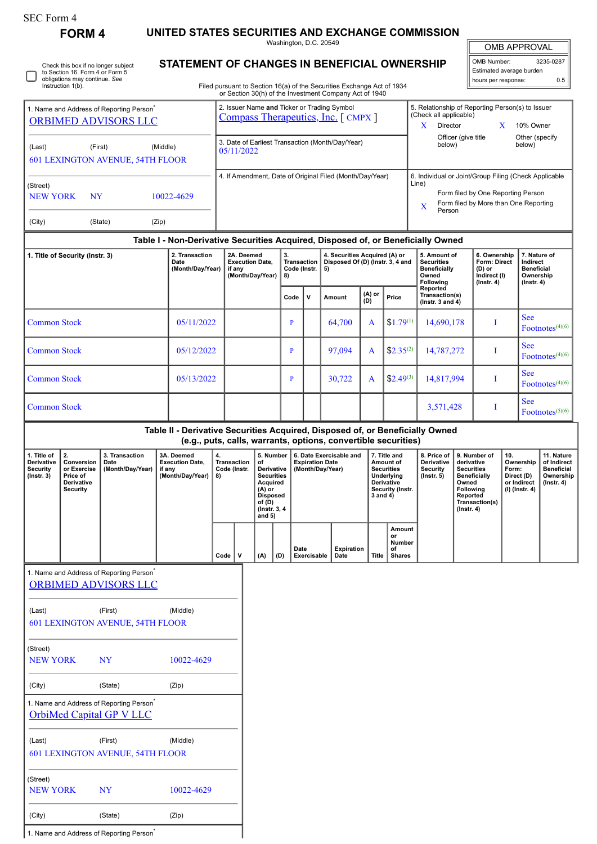| SEC Form 4 |  |
|------------|--|
|------------|--|

**FORM 4 UNITED STATES SECURITIES AND EXCHANGE COMMISSION**

Washington, D.C. 20549 **STATEMENT OF CHANGES IN BENEFICIAL OWNERSHIP**

| <b>OMB APPROVAL</b> |
|---------------------|

 $\sqrt{\phantom{a}}$ 

| OMB Number:              | 3235-0287 |  |  |  |  |
|--------------------------|-----------|--|--|--|--|
| Estimated average burden |           |  |  |  |  |
| hours per response:      | 0.5       |  |  |  |  |

|                                                                  | Check this box if no longer subject<br>to Section 16. Form 4 or Form 5<br>obligations may continue. See<br>Instruction 1(b). |                                                                                     | STATEMENT OF CHANGES IN BENEFICIAL OWNERSHIP                                     |                                                                                                                                                                                     |                                                      |                                                                       |                |                                    |                                                                                                       | Filed pursuant to Section 16(a) of the Securities Exchange Act of 1934<br>or Section 30(h) of the Investment Company Act of 1940 |               |                                                                                                                                                                |                                                                                |                                                                                                                                                              | Estimated average burden<br>hours per response:                                 |  |                          | 0.5                          |
|------------------------------------------------------------------|------------------------------------------------------------------------------------------------------------------------------|-------------------------------------------------------------------------------------|----------------------------------------------------------------------------------|-------------------------------------------------------------------------------------------------------------------------------------------------------------------------------------|------------------------------------------------------|-----------------------------------------------------------------------|----------------|------------------------------------|-------------------------------------------------------------------------------------------------------|----------------------------------------------------------------------------------------------------------------------------------|---------------|----------------------------------------------------------------------------------------------------------------------------------------------------------------|--------------------------------------------------------------------------------|--------------------------------------------------------------------------------------------------------------------------------------------------------------|---------------------------------------------------------------------------------|--|--------------------------|------------------------------|
|                                                                  |                                                                                                                              | 1. Name and Address of Reporting Person <sup>®</sup><br><b>ORBIMED ADVISORS LLC</b> |                                                                                  | 2. Issuer Name and Ticker or Trading Symbol<br>Compass Therapeutics, Inc. [CMPX]<br>X.                                                                                              |                                                      |                                                                       |                | (Check all applicable)<br>Director | 5. Relationship of Reporting Person(s) to Issuer<br>X                                                 |                                                                                                                                  |               | 10% Owner                                                                                                                                                      |                                                                                |                                                                                                                                                              |                                                                                 |  |                          |                              |
| (Last)                                                           | (First)                                                                                                                      | <b>601 LEXINGTON AVENUE, 54TH FLOOR</b>                                             | (Middle)                                                                         |                                                                                                                                                                                     | 05/11/2022                                           |                                                                       |                |                                    |                                                                                                       | 3. Date of Earliest Transaction (Month/Day/Year)                                                                                 |               |                                                                                                                                                                | below)                                                                         | Officer (give title                                                                                                                                          |                                                                                 |  | Other (specify<br>below) |                              |
| (Street)<br><b>NEW YORK</b>                                      | <b>NY</b>                                                                                                                    |                                                                                     | 10022-4629                                                                       |                                                                                                                                                                                     |                                                      |                                                                       |                |                                    |                                                                                                       | 4. If Amendment, Date of Original Filed (Month/Day/Year)                                                                         |               |                                                                                                                                                                | 6. Individual or Joint/Group Filing (Check Applicable<br>Line)<br>X<br>Person  |                                                                                                                                                              | Form filed by One Reporting Person<br>Form filed by More than One Reporting     |  |                          |                              |
| (City)                                                           |                                                                                                                              | (State)                                                                             | (Zip)                                                                            |                                                                                                                                                                                     |                                                      |                                                                       |                |                                    |                                                                                                       |                                                                                                                                  |               |                                                                                                                                                                |                                                                                |                                                                                                                                                              |                                                                                 |  |                          |                              |
|                                                                  |                                                                                                                              |                                                                                     | Table I - Non-Derivative Securities Acquired, Disposed of, or Beneficially Owned |                                                                                                                                                                                     | 2A. Deemed                                           |                                                                       | 3.             |                                    |                                                                                                       | 4. Securities Acquired (A) or                                                                                                    |               |                                                                                                                                                                |                                                                                |                                                                                                                                                              |                                                                                 |  |                          |                              |
|                                                                  | 1. Title of Security (Instr. 3)                                                                                              |                                                                                     | 2. Transaction<br>Date<br>(Month/Day/Year)                                       |                                                                                                                                                                                     | <b>Execution Date.</b><br>if any<br>(Month/Day/Year) |                                                                       | 8)             | <b>Transaction</b><br>Code (Instr. |                                                                                                       | Disposed Of (D) (Instr. 3, 4 and<br>5)                                                                                           |               |                                                                                                                                                                | 5. Amount of<br><b>Securities</b><br><b>Beneficially</b><br>Owned<br>Following | 6. Ownership<br>7. Nature of<br>Form: Direct<br>Indirect<br>(D) or<br><b>Beneficial</b><br>Indirect (I)<br>Ownership<br>$($ lnstr. 4 $)$<br>$($ Instr. 4 $)$ |                                                                                 |  |                          |                              |
|                                                                  |                                                                                                                              |                                                                                     |                                                                                  |                                                                                                                                                                                     |                                                      |                                                                       | Code           | v                                  |                                                                                                       | Amount                                                                                                                           | (A) or<br>(D) | Price                                                                                                                                                          | Reported<br>Transaction(s)<br>$($ lnstr. 3 and 4 $)$                           |                                                                                                                                                              |                                                                                 |  |                          |                              |
| <b>Common Stock</b>                                              |                                                                                                                              |                                                                                     | 05/11/2022                                                                       |                                                                                                                                                                                     |                                                      |                                                                       | P              |                                    |                                                                                                       | 64,700                                                                                                                           | A             | $$1.79^{(1)}$                                                                                                                                                  | 14,690,178                                                                     |                                                                                                                                                              | I                                                                               |  | <b>See</b>               | Footnotes $(4)(6)$           |
| <b>Common Stock</b>                                              |                                                                                                                              |                                                                                     | 05/12/2022                                                                       |                                                                                                                                                                                     |                                                      |                                                                       | $\overline{P}$ |                                    |                                                                                                       | 97.094                                                                                                                           | A             | $$2.35^{(2)}$                                                                                                                                                  | 14,787,272                                                                     |                                                                                                                                                              | I                                                                               |  | <b>See</b>               | Footnotes $(4)(6)$           |
| <b>Common Stock</b>                                              |                                                                                                                              |                                                                                     | 05/13/2022                                                                       |                                                                                                                                                                                     |                                                      |                                                                       | $\mathbf{P}$   |                                    |                                                                                                       | 30,722                                                                                                                           | A             | $$2.49^{(3)}$                                                                                                                                                  | 14,817,994                                                                     |                                                                                                                                                              | I                                                                               |  | <b>See</b>               | Footnotes $(4)(6)$           |
| <b>Common Stock</b>                                              |                                                                                                                              |                                                                                     |                                                                                  |                                                                                                                                                                                     |                                                      |                                                                       |                |                                    |                                                                                                       |                                                                                                                                  |               |                                                                                                                                                                | 3,571,428                                                                      |                                                                                                                                                              | I                                                                               |  | <b>See</b>               | $\text{ Footnotes}^{(5)(6)}$ |
|                                                                  |                                                                                                                              |                                                                                     | Table II - Derivative Securities Acquired, Disposed of, or Beneficially Owned    |                                                                                                                                                                                     |                                                      |                                                                       |                |                                    |                                                                                                       | (e.g., puts, calls, warrants, options, convertible securities)                                                                   |               |                                                                                                                                                                |                                                                                |                                                                                                                                                              |                                                                                 |  |                          |                              |
| 1. Title of<br>Derivative<br><b>Security</b><br>$($ Instr. 3 $)$ | 2.<br>Conversion<br>or Exercise<br>Price of<br>Derivative<br><b>Security</b>                                                 | 3. Transaction<br>Date<br>(Month/Day/Year)                                          | 3A. Deemed<br><b>Execution Date,</b><br>if any<br>(Month/Day/Year)               | 4.<br>5. Number<br><b>Transaction</b><br>of<br>Code (Instr.<br>Derivative<br><b>Securities</b><br>8)<br>Acquired<br>(A) or<br><b>Disposed</b><br>of $(D)$<br>(Instr. 3, 4<br>and 5) |                                                      | 6. Date Exercisable and<br><b>Expiration Date</b><br>(Month/Day/Year) |                | 3 and 4)                           | 7. Title and<br>Amount of<br><b>Securities</b><br>Underlying<br><b>Derivative</b><br>Security (Instr. | 8. Price of<br><b>Derivative</b><br>Security<br>$($ Instr. $5)$                                                                  |               | 9. Number of<br>10.<br>derivative<br><b>Securities</b><br>Form:<br><b>Beneficially</b><br>Owned<br>Following<br>Reported<br>Transaction(s)<br>$($ Instr. 4 $)$ |                                                                                | Ownership<br>Direct (D)<br>or Indirect<br>$(I)$ (Instr. 4)                                                                                                   | 11. Nature<br>of Indirect<br><b>Beneficial</b><br>Ownership<br>$($ Instr. 4 $)$ |  |                          |                              |
|                                                                  |                                                                                                                              |                                                                                     |                                                                                  | Code                                                                                                                                                                                | $\mathsf{v}$                                         | (A)                                                                   | (D)            | Date<br>Exercisable                |                                                                                                       | <b>Expiration</b><br>Date                                                                                                        | Title I       | Amount<br>or<br>Number<br>of<br><b>Shares</b>                                                                                                                  |                                                                                |                                                                                                                                                              |                                                                                 |  |                          |                              |

1. Name and Address of Reporting Person\* [ORBIMED ADVISORS LLC](http://www.sec.gov/cgi-bin/browse-edgar?action=getcompany&CIK=0001055951)

| (Last)                                               | (First)                                 | (Middle)   |  |  |  |
|------------------------------------------------------|-----------------------------------------|------------|--|--|--|
|                                                      | <b>601 LEXINGTON AVENUE, 54TH FLOOR</b> |            |  |  |  |
| (Street)                                             |                                         |            |  |  |  |
| <b>NEW YORK</b>                                      | <b>NY</b>                               | 10022-4629 |  |  |  |
| (City)                                               | (State)                                 | (Zip)      |  |  |  |
| 1. Name and Address of Reporting Person <sup>®</sup> | <b>OrbiMed Capital GP V LLC</b>         |            |  |  |  |
| (Last)                                               | (First)                                 | (Middle)   |  |  |  |
|                                                      | <b>601 LEXINGTON AVENUE, 54TH FLOOR</b> |            |  |  |  |
| (Street)                                             |                                         |            |  |  |  |
| <b>NEW YORK</b>                                      | <b>NY</b>                               | 10022-4629 |  |  |  |
|                                                      |                                         | (Zip)      |  |  |  |

1. Name and Address of Reporting Person<sup>\*</sup>